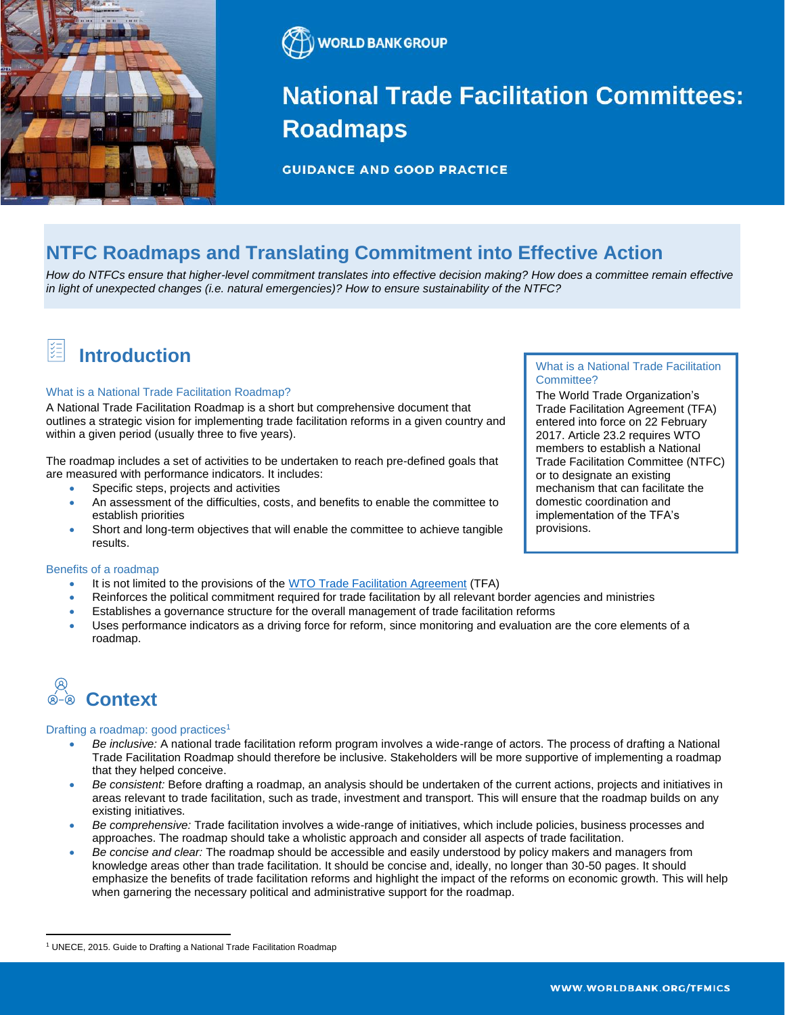



## **National Trade Facilitation Committees: Roadmaps**

**GUIDANCE AND GOOD PRACTICE** 

### **NTFC Roadmaps and Translating Commitment into Effective Action**

*How do NTFCs ensure that higher-level commitment translates into effective decision making? How does a committee remain effective in light of unexpected changes (i.e. natural emergencies)? How to ensure sustainability of the NTFC?* 

### **Introduction**

#### What is a National Trade Facilitation Roadmap?

A National Trade Facilitation Roadmap is a short but comprehensive document that outlines a strategic vision for implementing trade facilitation reforms in a given country and within a given period (usually three to five years).

The roadmap includes a set of activities to be undertaken to reach pre-defined goals that are measured with performance indicators. It includes:

- Specific steps, projects and activities
- An assessment of the difficulties, costs, and benefits to enable the committee to establish priorities
- Short and long-term objectives that will enable the committee to achieve tangible results.

#### Benefits of a roadmap

- It is not limited to the provisions of the [WTO Trade Facilitation Agreement](https://www.wto.org/english/tratop_e/tradfa_e/tradfa_e.htm) (TFA)
- Reinforces the political commitment required for trade facilitation by all relevant border agencies and ministries
- Establishes a governance structure for the overall management of trade facilitation reforms
- Uses performance indicators as a driving force for reform, since monitoring and evaluation are the core elements of a roadmap.

# **Context**

#### Drafting a roadmap: good practices<sup>1</sup>

- *Be inclusive:* A national trade facilitation reform program involves a wide-range of actors. The process of drafting a National Trade Facilitation Roadmap should therefore be inclusive. Stakeholders will be more supportive of implementing a roadmap that they helped conceive.
- *Be consistent:* Before drafting a roadmap, an analysis should be undertaken of the current actions, projects and initiatives in areas relevant to trade facilitation, such as trade, investment and transport. This will ensure that the roadmap builds on any existing initiatives.
- *Be comprehensive:* Trade facilitation involves a wide-range of initiatives, which include policies, business processes and approaches. The roadmap should take a wholistic approach and consider all aspects of trade facilitation.
- *Be concise and clear:* The roadmap should be accessible and easily understood by policy makers and managers from knowledge areas other than trade facilitation. It should be concise and, ideally, no longer than 30-50 pages. It should emphasize the benefits of trade facilitation reforms and highlight the impact of the reforms on economic growth. This will help when garnering the necessary political and administrative support for the roadmap.

#### What is a National Trade Facilitation Committee?

The World Trade Organization's Trade Facilitation Agreement (TFA) entered into force on 22 February 2017. Article 23.2 requires WTO members to establish a National Trade Facilitation Committee (NTFC) or to designate an existing mechanism that can facilitate the domestic coordination and implementation of the TFA's provisions.

<sup>1</sup> UNECE, 2015. Guide to Drafting a National Trade Facilitation Roadmap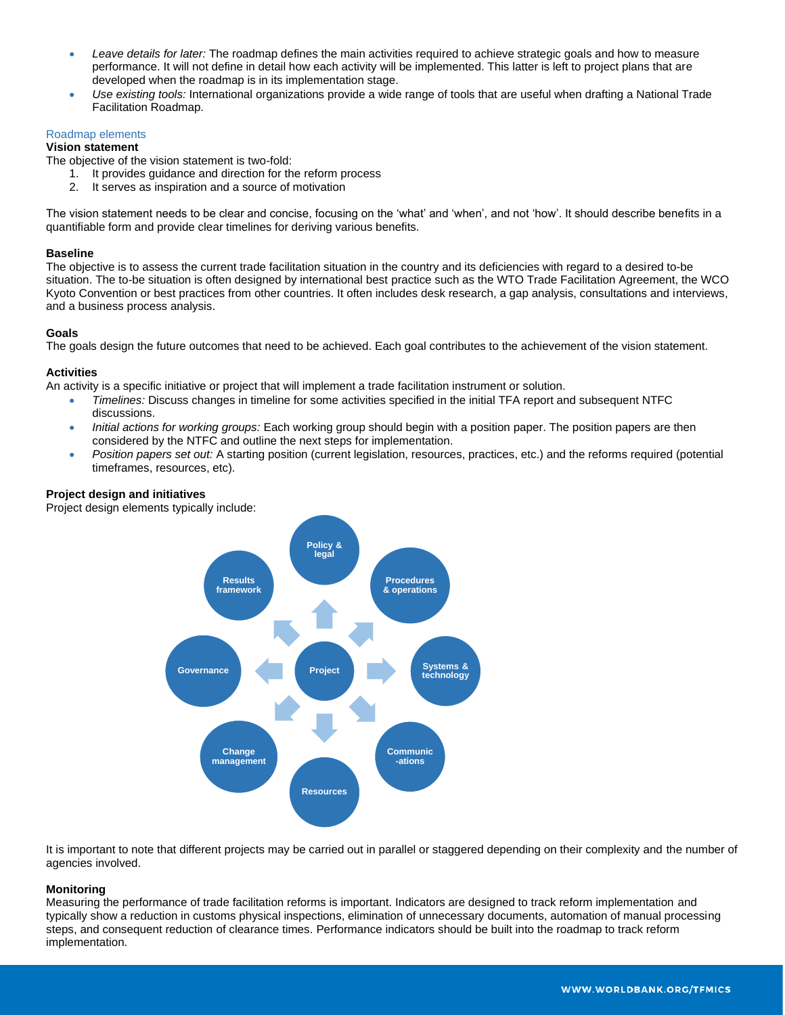- *Leave details for later:* The roadmap defines the main activities required to achieve strategic goals and how to measure performance. It will not define in detail how each activity will be implemented. This latter is left to project plans that are developed when the roadmap is in its implementation stage.
- *Use existing tools:* International organizations provide a wide range of tools that are useful when drafting a National Trade Facilitation Roadmap.

#### Roadmap elements

#### **Vision statement**

The objective of the vision statement is two-fold:

- 1. It provides guidance and direction for the reform process
- 2. It serves as inspiration and a source of motivation

The vision statement needs to be clear and concise, focusing on the 'what' and 'when', and not 'how'. It should describe benefits in a quantifiable form and provide clear timelines for deriving various benefits.

#### **Baseline**

The objective is to assess the current trade facilitation situation in the country and its deficiencies with regard to a desired to-be situation. The to-be situation is often designed by international best practice such as the WTO Trade Facilitation Agreement, the WCO Kyoto Convention or best practices from other countries. It often includes desk research, a gap analysis, consultations and interviews, and a business process analysis.

#### **Goals**

The goals design the future outcomes that need to be achieved. Each goal contributes to the achievement of the vision statement.

#### **Activities**

An activity is a specific initiative or project that will implement a trade facilitation instrument or solution.

- *Timelines:* Discuss changes in timeline for some activities specified in the initial TFA report and subsequent NTFC discussions.
- *Initial actions for working groups:* Each working group should begin with a position paper. The position papers are then considered by the NTFC and outline the next steps for implementation.
- *Position papers set out:* A starting position (current legislation, resources, practices, etc.) and the reforms required (potential timeframes, resources, etc).

#### **Project design and initiatives**

Project design elements typically include:



It is important to note that different projects may be carried out in parallel or staggered depending on their complexity and the number of agencies involved.

#### **Monitoring**

Measuring the performance of trade facilitation reforms is important. Indicators are designed to track reform implementation and typically show a reduction in customs physical inspections, elimination of unnecessary documents, automation of manual processing steps, and consequent reduction of clearance times. Performance indicators should be built into the roadmap to track reform implementation.